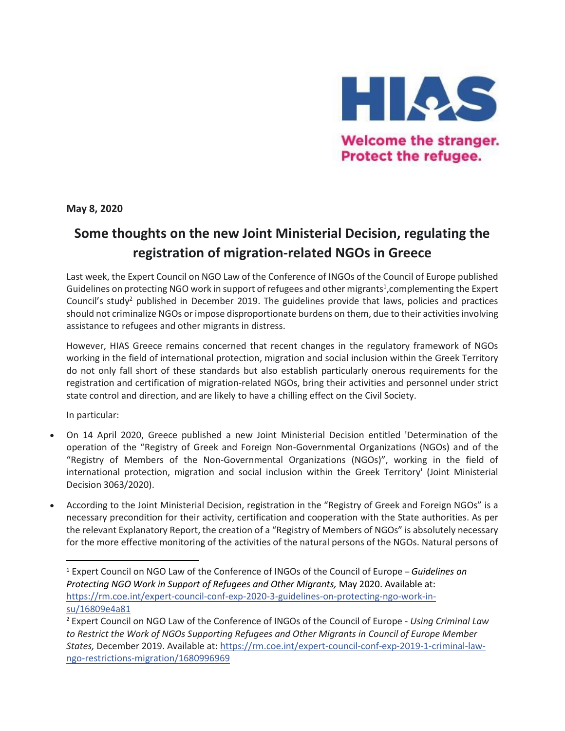

**Welcome the stranger.** Protect the refugee.

**May 8, 2020**

## **Some thoughts on the new Joint Ministerial Decision, regulating the registration of migration-related NGOs in Greece**

Last week, the Expert Council on NGO Law of the Conference of INGOs of the Council of Europe published Guidelines on protecting NGO work in support of refugees and other migrants<sup>1</sup>, complementing the Expert Council's study<sup>2</sup> published in December 2019. The guidelines provide that laws, policies and practices should not criminalize NGOs or impose disproportionate burdens on them, due to their activities involving assistance to refugees and other migrants in distress.

However, HIAS Greece remains concerned that recent changes in the regulatory framework of NGOs working in the field of international protection, migration and social inclusion within the Greek Territory do not only fall short of these standards but also establish particularly onerous requirements for the registration and certification of migration-related NGOs, bring their activities and personnel under strict state control and direction, and are likely to have a chilling effect on the Civil Society.

In particular:

 $\overline{\phantom{a}}$ 

- On 14 April 2020, Greece published a new Joint Ministerial Decision entitled 'Determination of the operation of the "Registry of Greek and Foreign Non-Governmental Organizations (NGOs) and of the "Registry of Members of the Non-Governmental Organizations (NGOs)", working in the field of international protection, migration and social inclusion within the Greek Territory' (Joint Ministerial Decision 3063/2020).
- According to the Joint Ministerial Decision, registration in the "Registry of Greek and Foreign NGOs" is a necessary precondition for their activity, certification and cooperation with the State authorities. As per the relevant Explanatory Report, the creation of a "Registry of Members of NGOs" is absolutely necessary for the more effective monitoring of the activities of the natural persons of the NGOs. Natural persons of

<sup>1</sup> Expert Council on NGO Law of the Conference of INGOs of the Council of Europe – *Guidelines on Protecting NGO Work in Support of Refugees and Other Migrants,* May 2020. Available at: [https://rm.coe.int/expert-council-conf-exp-2020-3-guidelines-on-protecting-ngo-work-in](https://l.facebook.com/l.php?u=https%3A%2F%2Frm.coe.int%2Fexpert-council-conf-exp-2020-3-guidelines-on-protecting-ngo-work-in-su%2F16809e4a81%3Ffbclid%3DIwAR0GDeqraosoP_yH444phoWB4LSeAiAGf3GrE1dIU322Ny4KyaiwFuIFi6g&h=AT2fQyb27r6nq4IlX9OCLRfjG3fPphvM67y6sYunxIZcmG0r63M4GYpsu9wLcHTUbeq7h56P3wdHesFytL8GwSOvpGMc_3flykLalzt7n6hg9fr7dYL2s24J_CTGjO0_fZKTrA)[su/16809e4a81](https://l.facebook.com/l.php?u=https%3A%2F%2Frm.coe.int%2Fexpert-council-conf-exp-2020-3-guidelines-on-protecting-ngo-work-in-su%2F16809e4a81%3Ffbclid%3DIwAR0GDeqraosoP_yH444phoWB4LSeAiAGf3GrE1dIU322Ny4KyaiwFuIFi6g&h=AT2fQyb27r6nq4IlX9OCLRfjG3fPphvM67y6sYunxIZcmG0r63M4GYpsu9wLcHTUbeq7h56P3wdHesFytL8GwSOvpGMc_3flykLalzt7n6hg9fr7dYL2s24J_CTGjO0_fZKTrA)

<sup>2</sup> Expert Council on NGO Law of the Conference of INGOs of the Council of Europe - *Using Criminal Law to Restrict the Work of NGOs Supporting Refugees and Other Migrants in Council of Europe Member States,* December 2019. Available at: [https://rm.coe.int/expert-council-conf-exp-2019-1-criminal-law](https://l.facebook.com/l.php?u=https%3A%2F%2Frm.coe.int%2Fexpert-council-conf-exp-2019-1-criminal-law-ngo-restrictions-migration%2F1680996969%3Ffbclid%3DIwAR3SGZUr-NZL9qcYq88kqr56MAooyo0EKmjYZeT3sHRq6OyNoIT1Pq7xmcA&h=AT1y_KfOLGreMlN69WF-cySlOFG-WF6WFCj7iIAd0f1JwRDMKp-QQmxAYax6V0kQmFUg5eRQKRTTt17hzifhd2uAKlIM8yeftc1SBjBziuReBuu4jiArdPRcKxGH_YHMIOWK4w)[ngo-restrictions-migration/1680996969](https://l.facebook.com/l.php?u=https%3A%2F%2Frm.coe.int%2Fexpert-council-conf-exp-2019-1-criminal-law-ngo-restrictions-migration%2F1680996969%3Ffbclid%3DIwAR3SGZUr-NZL9qcYq88kqr56MAooyo0EKmjYZeT3sHRq6OyNoIT1Pq7xmcA&h=AT1y_KfOLGreMlN69WF-cySlOFG-WF6WFCj7iIAd0f1JwRDMKp-QQmxAYax6V0kQmFUg5eRQKRTTt17hzifhd2uAKlIM8yeftc1SBjBziuReBuu4jiArdPRcKxGH_YHMIOWK4w)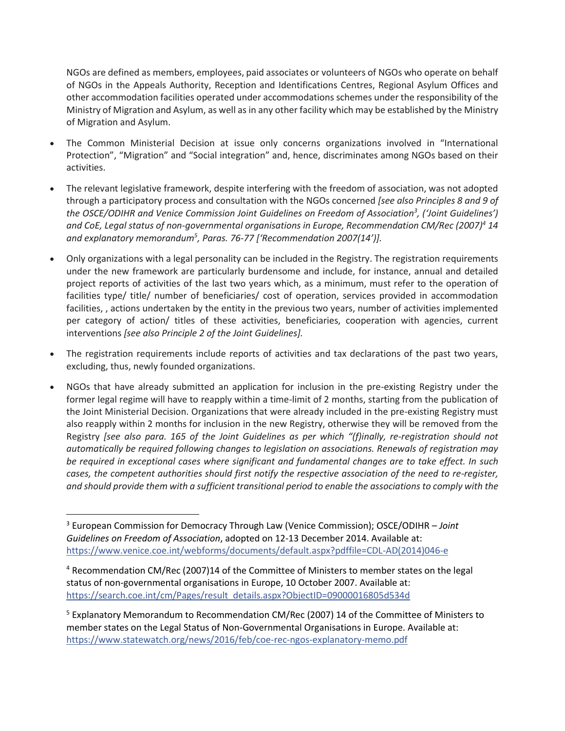NGOs are defined as members, employees, paid associates or volunteers of NGOs who operate on behalf of NGOs in the Appeals Authority, Reception and Identifications Centres, Regional Asylum Offices and other accommodation facilities operated under accommodations schemes under the responsibility of the Ministry of Migration and Asylum, as well as in any other facility which may be established by the Ministry of Migration and Asylum.

- The Common Ministerial Decision at issue only concerns organizations involved in "International Protection", "Migration" and "Social integration" and, hence, discriminates among NGOs based on their activities.
- The relevant legislative framework, despite interfering with the freedom of association, was not adopted through a participatory process and consultation with the NGOs concerned *[see also Principles 8 and 9 of the OSCE/ODIHR and Venice Commission Joint Guidelines on Freedom of Association<sup>3</sup> , ('Joint Guidelines') and CoE, Legal status of non-governmental organisations in Europe, Recommendation CM/Rec (2007)<sup>4</sup> 14 and explanatory memorandum<sup>5</sup> , Paras. 76-77 ['Recommendation 2007(14')].*
- Only organizations with a legal personality can be included in the Registry. The registration requirements under the new framework are particularly burdensome and include, for instance, annual and detailed project reports of activities of the last two years which, as a minimum, must refer to the operation of facilities type/ title/ number of beneficiaries/ cost of operation, services provided in accommodation facilities, , actions undertaken by the entity in the previous two years, number of activities implemented per category of action/ titles of these activities, beneficiaries, cooperation with agencies, current interventions *[see also Principle 2 of the Joint Guidelines].*
- The registration requirements include reports of activities and tax declarations of the past two years, excluding, thus, newly founded organizations.
- NGOs that have already submitted an application for inclusion in the pre-existing Registry under the former legal regime will have to reapply within a time-limit of 2 months, starting from the publication of the Joint Ministerial Decision. Organizations that were already included in the pre-existing Registry must also reapply within 2 months for inclusion in the new Registry, otherwise they will be removed from the Registry *[see also para. 165 of the Joint Guidelines as per which "(f)inally, re-registration should not automatically be required following changes to legislation on associations. Renewals of registration may be required in exceptional cases where significant and fundamental changes are to take effect. In such cases, the competent authorities should first notify the respective association of the need to re-register, and should provide them with a sufficient transitional period to enable the associations to comply with the*

l

<sup>3</sup> European Commission for Democracy Through Law (Venice Commission); OSCE/ODIHR – *Joint Guidelines on Freedom of Association*, adopted on 12-13 December 2014. Available at: [https://www.venice.coe.int/webforms/documents/default.aspx?pdffile=CDL-AD\(2014\)046-e](https://l.facebook.com/l.php?u=https%3A%2F%2Fwww.venice.coe.int%2Fwebforms%2Fdocuments%2Fdefault.aspx%3Fpdffile%3DCDL-AD%25282014%2529046-e%26fbclid%3DIwAR1NyANbr5jzJ0EiV59mWag77dKwJxuR3nU19m7fyzl4K0U-kEsSna_upIs&h=AT0AeI8ig359w2-3EMCRYGpCyZQh3uZJKKO7JiAGw3vgtjvGUK6EYE1XnS7tNK8SnXqkSALSQZTlDIV3HEyLby1wUdileJU07-bTdvaf5Ky6DRO3Cp7YPPVkk-AaepNXJZWabA)

<sup>4</sup> Recommendation CM/Rec (2007)14 of the Committee of Ministers to member states on the legal status of non-governmental organisations in Europe, 10 October 2007. Available at: [https://search.coe.int/cm/Pages/result\\_details.aspx?ObjectID=09000016805d534d](https://search.coe.int/cm/Pages/result_details.aspx?ObjectID=09000016805d534d&fbclid=IwAR2G-d655KahrSOkmtXkpPej9auekkrluJ0Xp3Jja68aD9EElWWpqO91HHk)

<sup>&</sup>lt;sup>5</sup> Explanatory Memorandum to Recommendation CM/Rec (2007) 14 of the Committee of Ministers to member states on the Legal Status of Non-Governmental Organisations in Europe. Available at: [https://www.statewatch.org/news/2016/feb/coe-rec-ngos-explanatory-memo.pdf](https://www.statewatch.org/news/2016/feb/coe-rec-ngos-explanatory-memo.pdf?fbclid=IwAR2icYjSbb_0-9IbPSOOSWyXwV5N7igd2q0_moqEfUQnPsnG9yLFTjq3TM8)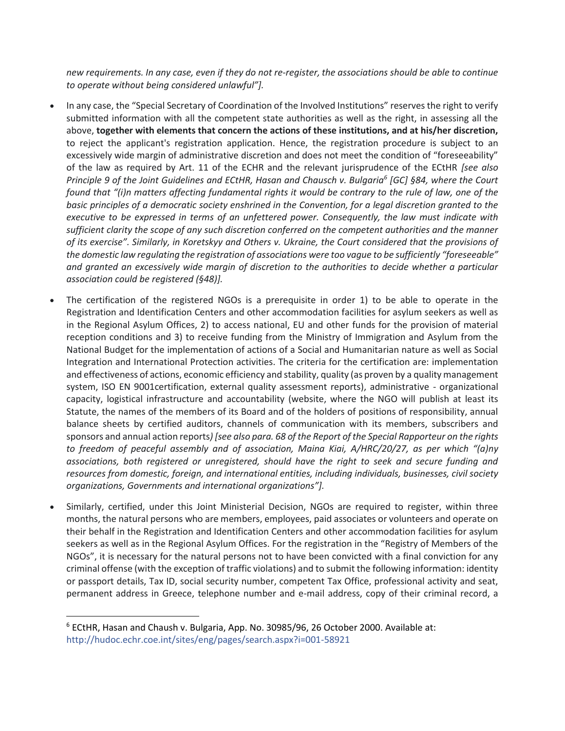*new requirements. In any case, even if they do not re-register, the associations should be able to continue to operate without being considered unlawful"].*

- In any case, the "Special Secretary of Coordination of the Involved Institutions" reserves the right to verify submitted information with all the competent state authorities as well as the right, in assessing all the above, **together with elements that concern the actions of these institutions, and at his/her discretion,** to reject the applicant's registration application. Hence, the registration procedure is subject to an excessively wide margin of administrative discretion and does not meet the condition of "foreseeability" of the law as required by Art. 11 of the ECHR and the relevant jurisprudence of the ECtHR *[see also Principle 9 of the Joint Guidelines and ECtHR, Hasan and Chausch v. Bulgaria<sup>6</sup> [GC] §84, where the Court found that "(i)n matters affecting fundamental rights it would be contrary to the rule of law, one of the basic principles of a democratic society enshrined in the Convention, for a legal discretion granted to the executive to be expressed in terms of an unfettered power. Consequently, the law must indicate with sufficient clarity the scope of any such discretion conferred on the competent authorities and the manner of its exercise". Similarly, in Koretskyy and Others v. Ukraine, the Court considered that the provisions of the domestic law regulating the registration of associations were too vague to be sufficiently "foreseeable" and granted an excessively wide margin of discretion to the authorities to decide whether a particular association could be registered (§48)].*
- The certification of the registered NGOs is a prerequisite in order 1) to be able to operate in the Registration and Identification Centers and other accommodation facilities for asylum seekers as well as in the Regional Asylum Offices, 2) to access national, EU and other funds for the provision of material reception conditions and 3) to receive funding from the Ministry of Immigration and Asylum from the National Budget for the implementation of actions of a Social and Humanitarian nature as well as Social Integration and International Protection activities. The criteria for the certification are: implementation and effectiveness of actions, economic efficiency and stability, quality (as proven by a quality management system, ISO EN 9001certification, external quality assessment reports), administrative - organizational capacity, logistical infrastructure and accountability (website, where the NGO will publish at least its Statute, the names of the members of its Board and of the holders of positions of responsibility, annual balance sheets by certified auditors, channels of communication with its members, subscribers and sponsors and annual action reports*) [see also para. 68 of the Report of the Special Rapporteur on the rights to freedom of peaceful assembly and of association, Maina Kiai, A/HRC/20/27, as per which "(a)ny associations, both registered or unregistered, should have the right to seek and secure funding and resources from domestic, foreign, and international entities, including individuals, businesses, civil society organizations, Governments and international organizations"].*
- Similarly, certified, under this Joint Ministerial Decision, NGOs are required to register, within three months, the natural persons who are members, employees, paid associates or volunteers and operate on their behalf in the Registration and Identification Centers and other accommodation facilities for asylum seekers as well as in the Regional Asylum Offices. For the registration in the "Registry of Members of the NGOs", it is necessary for the natural persons not to have been convicted with a final conviction for any criminal offense (with the exception of traffic violations) and to submit the following information: identity or passport details, Tax ID, social security number, competent Tax Office, professional activity and seat, permanent address in Greece, telephone number and e-mail address, copy of their criminal record, a

 $\overline{\phantom{a}}$ 

<sup>&</sup>lt;sup>6</sup> ECtHR, Hasan and Chaush v. Bulgaria, App. No. 30985/96, 26 October 2000. Available at: [http://hudoc.echr.coe.int/sites/eng/pages/search.aspx?i=001-58921](http://hudoc.echr.coe.int/sites/eng/pages/search.aspx?i=001-58921&fbclid=IwAR1fUyLWWMl8t4Or-C3YOw8m_yk9tZbuCECcQ791OTExy9myA9KqJ6VOjwo)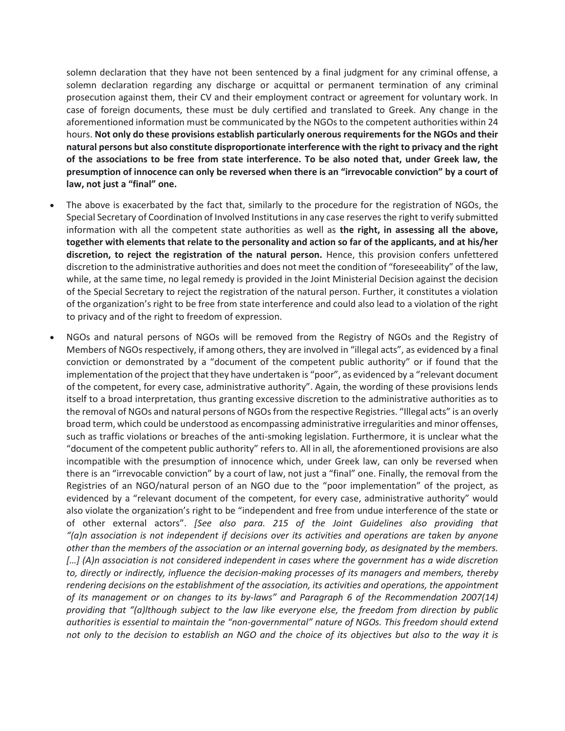solemn declaration that they have not been sentenced by a final judgment for any criminal offense, a solemn declaration regarding any discharge or acquittal or permanent termination of any criminal prosecution against them, their CV and their employment contract or agreement for voluntary work. In case of foreign documents, these must be duly certified and translated to Greek. Any change in the aforementioned information must be communicated by the NGOs to the competent authorities within 24 hours. **Not only do these provisions establish particularly onerous requirements for the NGOs and their natural persons but also constitute disproportionate interference with the right to privacy and the right of the associations to be free from state interference. To be also noted that, under Greek law, the presumption of innocence can only be reversed when there is an "irrevocable conviction" by a court of law, not just a "final" one.**

- The above is exacerbated by the fact that, similarly to the procedure for the registration of NGOs, the Special Secretary of Coordination of Involved Institutions in any case reserves the right to verify submitted information with all the competent state authorities as well as **the right, in assessing all the above, together with elements that relate to the personality and action so far of the applicants, and at his/her discretion, to reject the registration of the natural person.** Hence, this provision confers unfettered discretion to the administrative authorities and does not meet the condition of "foreseeability" of the law, while, at the same time, no legal remedy is provided in the Joint Ministerial Decision against the decision of the Special Secretary to reject the registration of the natural person. Further, it constitutes a violation of the organization's right to be free from state interference and could also lead to a violation of the right to privacy and of the right to freedom of expression.
- NGOs and natural persons of NGOs will be removed from the Registry of NGOs and the Registry of Members of NGOs respectively, if among others, they are involved in "illegal acts", as evidenced by a final conviction or demonstrated by a "document of the competent public authority" or if found that the implementation of the project that they have undertaken is "poor", as evidenced by a "relevant document of the competent, for every case, administrative authority". Again, the wording of these provisions lends itself to a broad interpretation, thus granting excessive discretion to the administrative authorities as to the removal of NGOs and natural persons of NGOs from the respective Registries. "Illegal acts" is an overly broad term, which could be understood as encompassing administrative irregularities and minor offenses, such as traffic violations or breaches of the anti-smoking legislation. Furthermore, it is unclear what the "document of the competent public authority" refers to. All in all, the aforementioned provisions are also incompatible with the presumption of innocence which, under Greek law, can only be reversed when there is an "irrevocable conviction" by a court of law, not just a "final" one. Finally, the removal from the Registries of an NGO/natural person of an NGO due to the "poor implementation" of the project, as evidenced by a "relevant document of the competent, for every case, administrative authority" would also violate the organization's right to be "independent and free from undue interference of the state or of other external actors". *[See also para. 215 of the Joint Guidelines also providing that "(a)n association is not independent if decisions over its activities and operations are taken by anyone other than the members of the association or an internal governing body, as designated by the members. […] (A)n association is not considered independent in cases where the government has a wide discretion to, directly or indirectly, influence the decision-making processes of its managers and members, thereby rendering decisions on the establishment of the association, its activities and operations, the appointment of its management or on changes to its by-laws" and Paragraph 6 of the Recommendation 2007(14) providing that "(a)lthough subject to the law like everyone else, the freedom from direction by public authorities is essential to maintain the "non-governmental" nature of NGOs. This freedom should extend not only to the decision to establish an NGO and the choice of its objectives but also to the way it is*